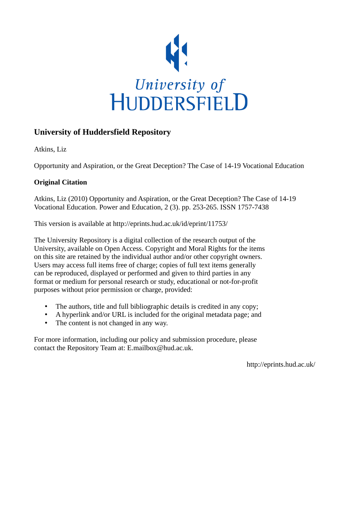

# **University of Huddersfield Repository**

Atkins, Liz

Opportunity and Aspiration, or the Great Deception? The Case of 14-19 Vocational Education

# **Original Citation**

Atkins, Liz (2010) Opportunity and Aspiration, or the Great Deception? The Case of 14-19 Vocational Education. Power and Education, 2 (3). pp. 253-265. ISSN 1757-7438

This version is available at http://eprints.hud.ac.uk/id/eprint/11753/

The University Repository is a digital collection of the research output of the University, available on Open Access. Copyright and Moral Rights for the items on this site are retained by the individual author and/or other copyright owners. Users may access full items free of charge; copies of full text items generally can be reproduced, displayed or performed and given to third parties in any format or medium for personal research or study, educational or not-for-profit purposes without prior permission or charge, provided:

- The authors, title and full bibliographic details is credited in any copy;
- A hyperlink and/or URL is included for the original metadata page; and
- The content is not changed in any way.

For more information, including our policy and submission procedure, please contact the Repository Team at: E.mailbox@hud.ac.uk.

http://eprints.hud.ac.uk/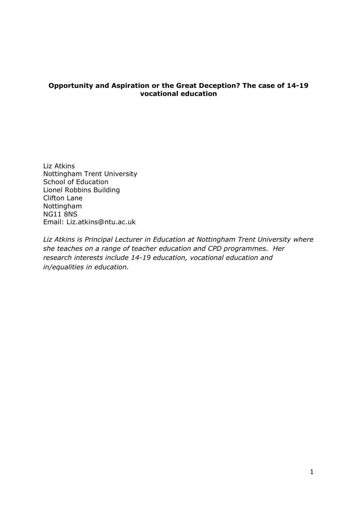# Opportunity and Aspiration or the Great Deception? The case of 14-19 vocational education

Liz Atkins Nottingham Trent University School of Education Lionel Robbins Building Clifton Lane Nottingham NG11 8NS Email: Liz.atkins@ntu.ac.uk

Liz Atkins is Principal Lecturer in Education at Nottingham Trent University where she teaches on a range of teacher education and CPD programmes. Her research interests include 14-19 education, vocational education and in/equalities in education.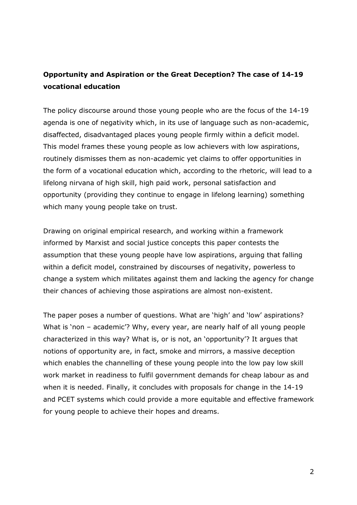# Opportunity and Aspiration or the Great Deception? The case of 14-19 vocational education

The policy discourse around those young people who are the focus of the 14-19 agenda is one of negativity which, in its use of language such as non-academic, disaffected, disadvantaged places young people firmly within a deficit model. This model frames these young people as low achievers with low aspirations, routinely dismisses them as non-academic yet claims to offer opportunities in the form of a vocational education which, according to the rhetoric, will lead to a lifelong nirvana of high skill, high paid work, personal satisfaction and opportunity (providing they continue to engage in lifelong learning) something which many young people take on trust.

Drawing on original empirical research, and working within a framework informed by Marxist and social justice concepts this paper contests the assumption that these young people have low aspirations, arguing that falling within a deficit model, constrained by discourses of negativity, powerless to change a system which militates against them and lacking the agency for change their chances of achieving those aspirations are almost non-existent.

The paper poses a number of questions. What are 'high' and 'low' aspirations? What is 'non – academic'? Why, every year, are nearly half of all young people characterized in this way? What is, or is not, an 'opportunity'? It argues that notions of opportunity are, in fact, smoke and mirrors, a massive deception which enables the channelling of these young people into the low pay low skill work market in readiness to fulfil government demands for cheap labour as and when it is needed. Finally, it concludes with proposals for change in the 14-19 and PCET systems which could provide a more equitable and effective framework for young people to achieve their hopes and dreams.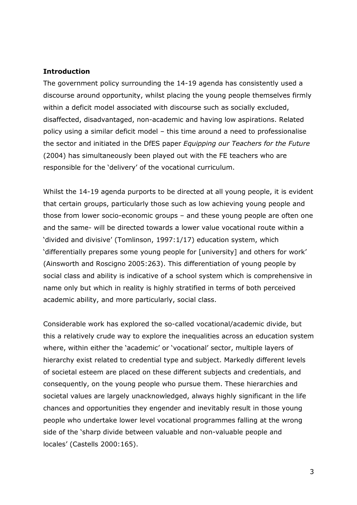## **Introduction**

The government policy surrounding the 14-19 agenda has consistently used a discourse around opportunity, whilst placing the young people themselves firmly within a deficit model associated with discourse such as socially excluded, disaffected, disadvantaged, non-academic and having low aspirations. Related policy using a similar deficit model – this time around a need to professionalise the sector and initiated in the DfES paper Equipping our Teachers for the Future (2004) has simultaneously been played out with the FE teachers who are responsible for the 'delivery' of the vocational curriculum.

Whilst the 14-19 agenda purports to be directed at all young people, it is evident that certain groups, particularly those such as low achieving young people and those from lower socio-economic groups – and these young people are often one and the same- will be directed towards a lower value vocational route within a 'divided and divisive' (Tomlinson, 1997:1/17) education system, which 'differentially prepares some young people for [university] and others for work' (Ainsworth and Roscigno 2005:263). This differentiation of young people by social class and ability is indicative of a school system which is comprehensive in name only but which in reality is highly stratified in terms of both perceived academic ability, and more particularly, social class.

Considerable work has explored the so-called vocational/academic divide, but this a relatively crude way to explore the inequalities across an education system where, within either the 'academic' or 'vocational' sector, multiple layers of hierarchy exist related to credential type and subject. Markedly different levels of societal esteem are placed on these different subjects and credentials, and consequently, on the young people who pursue them. These hierarchies and societal values are largely unacknowledged, always highly significant in the life chances and opportunities they engender and inevitably result in those young people who undertake lower level vocational programmes falling at the wrong side of the 'sharp divide between valuable and non-valuable people and locales' (Castells 2000:165).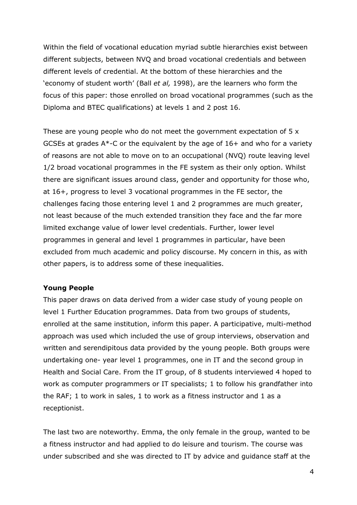Within the field of vocational education myriad subtle hierarchies exist between different subjects, between NVQ and broad vocational credentials and between different levels of credential. At the bottom of these hierarchies and the 'economy of student worth' (Ball et al, 1998), are the learners who form the focus of this paper: those enrolled on broad vocational programmes (such as the Diploma and BTEC qualifications) at levels 1 and 2 post 16.

These are young people who do not meet the government expectation of 5 x GCSEs at grades  $A^*$ -C or the equivalent by the age of  $16+$  and who for a variety of reasons are not able to move on to an occupational (NVQ) route leaving level 1/2 broad vocational programmes in the FE system as their only option. Whilst there are significant issues around class, gender and opportunity for those who, at 16+, progress to level 3 vocational programmes in the FE sector, the challenges facing those entering level 1 and 2 programmes are much greater, not least because of the much extended transition they face and the far more limited exchange value of lower level credentials. Further, lower level programmes in general and level 1 programmes in particular, have been excluded from much academic and policy discourse. My concern in this, as with other papers, is to address some of these inequalities.

## Young People

This paper draws on data derived from a wider case study of young people on level 1 Further Education programmes. Data from two groups of students, enrolled at the same institution, inform this paper. A participative, multi-method approach was used which included the use of group interviews, observation and written and serendipitous data provided by the young people. Both groups were undertaking one- year level 1 programmes, one in IT and the second group in Health and Social Care. From the IT group, of 8 students interviewed 4 hoped to work as computer programmers or IT specialists; 1 to follow his grandfather into the RAF; 1 to work in sales, 1 to work as a fitness instructor and 1 as a receptionist.

The last two are noteworthy. Emma, the only female in the group, wanted to be a fitness instructor and had applied to do leisure and tourism. The course was under subscribed and she was directed to IT by advice and guidance staff at the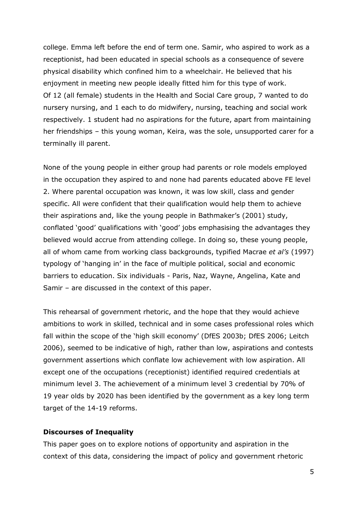college. Emma left before the end of term one. Samir, who aspired to work as a receptionist, had been educated in special schools as a consequence of severe physical disability which confined him to a wheelchair. He believed that his enjoyment in meeting new people ideally fitted him for this type of work. Of 12 (all female) students in the Health and Social Care group, 7 wanted to do nursery nursing, and 1 each to do midwifery, nursing, teaching and social work respectively. 1 student had no aspirations for the future, apart from maintaining her friendships – this young woman, Keira, was the sole, unsupported carer for a terminally ill parent.

None of the young people in either group had parents or role models employed in the occupation they aspired to and none had parents educated above FE level 2. Where parental occupation was known, it was low skill, class and gender specific. All were confident that their qualification would help them to achieve their aspirations and, like the young people in Bathmaker's (2001) study, conflated 'good' qualifications with 'good' jobs emphasising the advantages they believed would accrue from attending college. In doing so, these young people, all of whom came from working class backgrounds, typified Macrae et al's (1997) typology of 'hanging in' in the face of multiple political, social and economic barriers to education. Six individuals - Paris, Naz, Wayne, Angelina, Kate and Samir – are discussed in the context of this paper.

This rehearsal of government rhetoric, and the hope that they would achieve ambitions to work in skilled, technical and in some cases professional roles which fall within the scope of the 'high skill economy' (DfES 2003b; DfES 2006; Leitch 2006), seemed to be indicative of high, rather than low, aspirations and contests government assertions which conflate low achievement with low aspiration. All except one of the occupations (receptionist) identified required credentials at minimum level 3. The achievement of a minimum level 3 credential by 70% of 19 year olds by 2020 has been identified by the government as a key long term target of the 14-19 reforms.

## Discourses of Inequality

This paper goes on to explore notions of opportunity and aspiration in the context of this data, considering the impact of policy and government rhetoric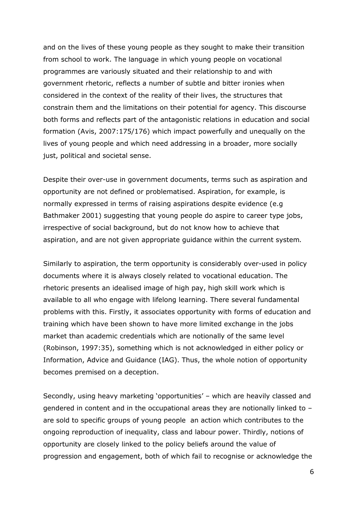and on the lives of these young people as they sought to make their transition from school to work. The language in which young people on vocational programmes are variously situated and their relationship to and with government rhetoric, reflects a number of subtle and bitter ironies when considered in the context of the reality of their lives, the structures that constrain them and the limitations on their potential for agency. This discourse both forms and reflects part of the antagonistic relations in education and social formation (Avis, 2007:175/176) which impact powerfully and unequally on the lives of young people and which need addressing in a broader, more socially just, political and societal sense.

Despite their over-use in government documents, terms such as aspiration and opportunity are not defined or problematised. Aspiration, for example, is normally expressed in terms of raising aspirations despite evidence (e.g Bathmaker 2001) suggesting that young people do aspire to career type jobs, irrespective of social background, but do not know how to achieve that aspiration, and are not given appropriate guidance within the current system.

Similarly to aspiration, the term opportunity is considerably over-used in policy documents where it is always closely related to vocational education. The rhetoric presents an idealised image of high pay, high skill work which is available to all who engage with lifelong learning. There several fundamental problems with this. Firstly, it associates opportunity with forms of education and training which have been shown to have more limited exchange in the jobs market than academic credentials which are notionally of the same level (Robinson, 1997:35), something which is not acknowledged in either policy or Information, Advice and Guidance (IAG). Thus, the whole notion of opportunity becomes premised on a deception.

Secondly, using heavy marketing 'opportunities' – which are heavily classed and gendered in content and in the occupational areas they are notionally linked to – are sold to specific groups of young people an action which contributes to the ongoing reproduction of inequality, class and labour power. Thirdly, notions of opportunity are closely linked to the policy beliefs around the value of progression and engagement, both of which fail to recognise or acknowledge the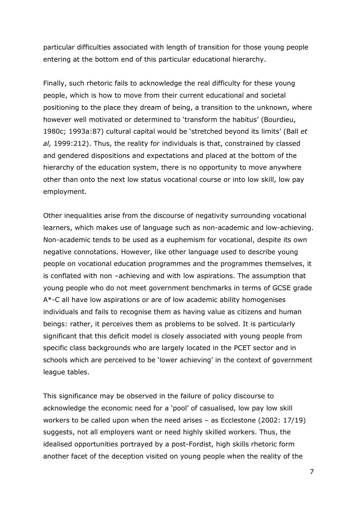particular difficulties associated with length of transition for those young people entering at the bottom end of this particular educational hierarchy.

Finally, such rhetoric fails to acknowledge the real difficulty for these young people, which is how to move from their current educational and societal positioning to the place they dream of being, a transition to the unknown, where however well motivated or determined to 'transform the habitus' (Bourdieu, 1980c; 1993a:87) cultural capital would be 'stretched beyond its limits' (Ball et al, 1999:212). Thus, the reality for individuals is that, constrained by classed and gendered dispositions and expectations and placed at the bottom of the hierarchy of the education system, there is no opportunity to move anywhere other than onto the next low status vocational course or into low skill, low pay employment.

Other inequalities arise from the discourse of negativity surrounding vocational learners, which makes use of language such as non-academic and low-achieving. Non-academic tends to be used as a euphemism for vocational, despite its own negative connotations. However, like other language used to describe young people on vocational education programmes and the programmes themselves, it is conflated with non –achieving and with low aspirations. The assumption that young people who do not meet government benchmarks in terms of GCSE grade A\*-C all have low aspirations or are of low academic ability homogenises individuals and fails to recognise them as having value as citizens and human beings: rather, it perceives them as problems to be solved. It is particularly significant that this deficit model is closely associated with young people from specific class backgrounds who are largely located in the PCET sector and in schools which are perceived to be 'lower achieving' in the context of government league tables.

This significance may be observed in the failure of policy discourse to acknowledge the economic need for a 'pool' of casualised, low pay low skill workers to be called upon when the need arises – as Ecclestone (2002: 17/19) suggests, not all employers want or need highly skilled workers. Thus, the idealised opportunities portrayed by a post-Fordist, high skills rhetoric form another facet of the deception visited on young people when the reality of the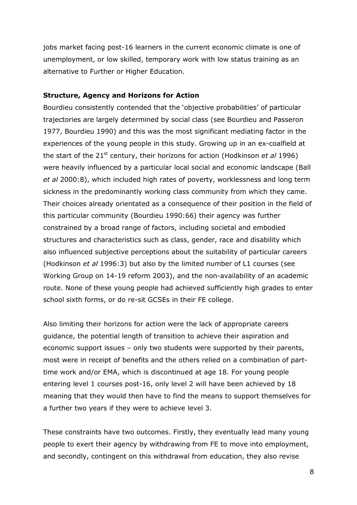jobs market facing post-16 learners in the current economic climate is one of unemployment, or low skilled, temporary work with low status training as an alternative to Further or Higher Education.

#### Structure, Agency and Horizons for Action

Bourdieu consistently contended that the 'objective probabilities' of particular trajectories are largely determined by social class (see Bourdieu and Passeron 1977, Bourdieu 1990) and this was the most significant mediating factor in the experiences of the young people in this study. Growing up in an ex-coalfield at the start of the  $21^{st}$  century, their horizons for action (Hodkinson et al 1996) were heavily influenced by a particular local social and economic landscape (Ball et al 2000:8), which included high rates of poverty, worklessness and long term sickness in the predominantly working class community from which they came. Their choices already orientated as a consequence of their position in the field of this particular community (Bourdieu 1990:66) their agency was further constrained by a broad range of factors, including societal and embodied structures and characteristics such as class, gender, race and disability which also influenced subjective perceptions about the suitability of particular careers (Hodkinson et al 1996:3) but also by the limited number of L1 courses (see Working Group on 14-19 reform 2003), and the non-availability of an academic route. None of these young people had achieved sufficiently high grades to enter school sixth forms, or do re-sit GCSEs in their FE college.

Also limiting their horizons for action were the lack of appropriate careers guidance, the potential length of transition to achieve their aspiration and economic support issues – only two students were supported by their parents, most were in receipt of benefits and the others relied on a combination of parttime work and/or EMA, which is discontinued at age 18. For young people entering level 1 courses post-16, only level 2 will have been achieved by 18 meaning that they would then have to find the means to support themselves for a further two years if they were to achieve level 3.

These constraints have two outcomes. Firstly, they eventually lead many young people to exert their agency by withdrawing from FE to move into employment, and secondly, contingent on this withdrawal from education, they also revise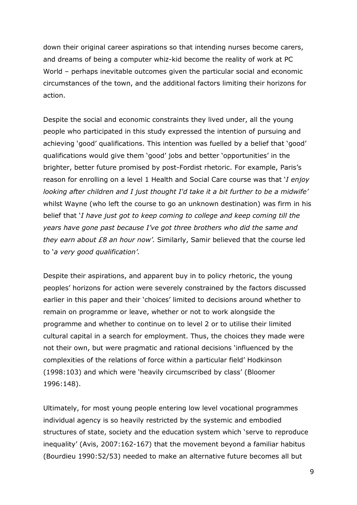down their original career aspirations so that intending nurses become carers, and dreams of being a computer whiz-kid become the reality of work at PC World – perhaps inevitable outcomes given the particular social and economic circumstances of the town, and the additional factors limiting their horizons for action.

Despite the social and economic constraints they lived under, all the young people who participated in this study expressed the intention of pursuing and achieving 'good' qualifications. This intention was fuelled by a belief that 'good' qualifications would give them 'good' jobs and better 'opportunities' in the brighter, better future promised by post-Fordist rhetoric. For example, Paris's reason for enrolling on a level 1 Health and Social Care course was that *'I enjoy* looking after children and I just thought I'd take it a bit further to be a midwife' whilst Wayne (who left the course to go an unknown destination) was firm in his belief that 'I have just got to keep coming to college and keep coming till the years have gone past because I've got three brothers who did the same and they earn about £8 an hour now'. Similarly, Samir believed that the course led to 'a very good qualification'.

Despite their aspirations, and apparent buy in to policy rhetoric, the young peoples' horizons for action were severely constrained by the factors discussed earlier in this paper and their 'choices' limited to decisions around whether to remain on programme or leave, whether or not to work alongside the programme and whether to continue on to level 2 or to utilise their limited cultural capital in a search for employment. Thus, the choices they made were not their own, but were pragmatic and rational decisions 'influenced by the complexities of the relations of force within a particular field' Hodkinson (1998:103) and which were 'heavily circumscribed by class' (Bloomer 1996:148).

Ultimately, for most young people entering low level vocational programmes individual agency is so heavily restricted by the systemic and embodied structures of state, society and the education system which 'serve to reproduce inequality' (Avis, 2007:162-167) that the movement beyond a familiar habitus (Bourdieu 1990:52/53) needed to make an alternative future becomes all but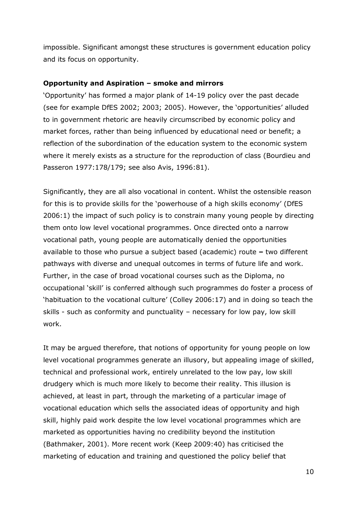impossible. Significant amongst these structures is government education policy and its focus on opportunity.

# Opportunity and Aspiration – smoke and mirrors

'Opportunity' has formed a major plank of 14-19 policy over the past decade (see for example DfES 2002; 2003; 2005). However, the 'opportunities' alluded to in government rhetoric are heavily circumscribed by economic policy and market forces, rather than being influenced by educational need or benefit; a reflection of the subordination of the education system to the economic system where it merely exists as a structure for the reproduction of class (Bourdieu and Passeron 1977:178/179; see also Avis, 1996:81).

Significantly, they are all also vocational in content. Whilst the ostensible reason for this is to provide skills for the 'powerhouse of a high skills economy' (DfES 2006:1) the impact of such policy is to constrain many young people by directing them onto low level vocational programmes. Once directed onto a narrow vocational path, young people are automatically denied the opportunities available to those who pursue a subject based (academic) route – two different pathways with diverse and unequal outcomes in terms of future life and work. Further, in the case of broad vocational courses such as the Diploma, no occupational 'skill' is conferred although such programmes do foster a process of 'habituation to the vocational culture' (Colley 2006:17) and in doing so teach the skills - such as conformity and punctuality – necessary for low pay, low skill work.

It may be argued therefore, that notions of opportunity for young people on low level vocational programmes generate an illusory, but appealing image of skilled, technical and professional work, entirely unrelated to the low pay, low skill drudgery which is much more likely to become their reality. This illusion is achieved, at least in part, through the marketing of a particular image of vocational education which sells the associated ideas of opportunity and high skill, highly paid work despite the low level vocational programmes which are marketed as opportunities having no credibility beyond the institution (Bathmaker, 2001). More recent work (Keep 2009:40) has criticised the marketing of education and training and questioned the policy belief that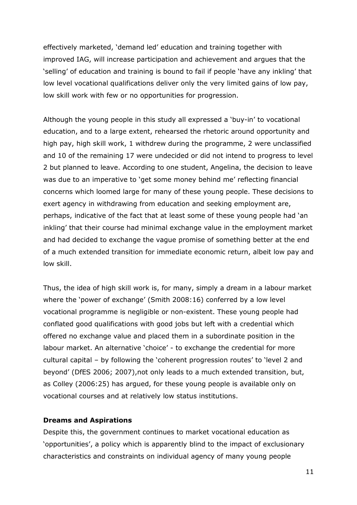effectively marketed, 'demand led' education and training together with improved IAG, will increase participation and achievement and argues that the 'selling' of education and training is bound to fail if people 'have any inkling' that low level vocational qualifications deliver only the very limited gains of low pay, low skill work with few or no opportunities for progression.

Although the young people in this study all expressed a 'buy-in' to vocational education, and to a large extent, rehearsed the rhetoric around opportunity and high pay, high skill work, 1 withdrew during the programme, 2 were unclassified and 10 of the remaining 17 were undecided or did not intend to progress to level 2 but planned to leave. According to one student, Angelina, the decision to leave was due to an imperative to 'get some money behind me' reflecting financial concerns which loomed large for many of these young people. These decisions to exert agency in withdrawing from education and seeking employment are, perhaps, indicative of the fact that at least some of these young people had 'an inkling' that their course had minimal exchange value in the employment market and had decided to exchange the vague promise of something better at the end of a much extended transition for immediate economic return, albeit low pay and low skill.

Thus, the idea of high skill work is, for many, simply a dream in a labour market where the 'power of exchange' (Smith 2008:16) conferred by a low level vocational programme is negligible or non-existent. These young people had conflated good qualifications with good jobs but left with a credential which offered no exchange value and placed them in a subordinate position in the labour market. An alternative 'choice' - to exchange the credential for more cultural capital – by following the 'coherent progression routes' to 'level 2 and beyond' (DfES 2006; 2007),not only leads to a much extended transition, but, as Colley (2006:25) has argued, for these young people is available only on vocational courses and at relatively low status institutions.

# Dreams and Aspirations

Despite this, the government continues to market vocational education as 'opportunities', a policy which is apparently blind to the impact of exclusionary characteristics and constraints on individual agency of many young people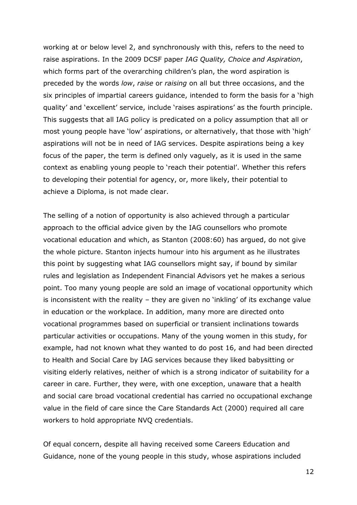working at or below level 2, and synchronously with this, refers to the need to raise aspirations. In the 2009 DCSF paper IAG Quality, Choice and Aspiration, which forms part of the overarching children's plan, the word aspiration is preceded by the words low, raise or raising on all but three occasions, and the six principles of impartial careers guidance, intended to form the basis for a 'high quality' and 'excellent' service, include 'raises aspirations' as the fourth principle. This suggests that all IAG policy is predicated on a policy assumption that all or most young people have 'low' aspirations, or alternatively, that those with 'high' aspirations will not be in need of IAG services. Despite aspirations being a key focus of the paper, the term is defined only vaguely, as it is used in the same context as enabling young people to 'reach their potential'. Whether this refers to developing their potential for agency, or, more likely, their potential to achieve a Diploma, is not made clear.

The selling of a notion of opportunity is also achieved through a particular approach to the official advice given by the IAG counsellors who promote vocational education and which, as Stanton (2008:60) has argued, do not give the whole picture. Stanton injects humour into his argument as he illustrates this point by suggesting what IAG counsellors might say, if bound by similar rules and legislation as Independent Financial Advisors yet he makes a serious point. Too many young people are sold an image of vocational opportunity which is inconsistent with the reality – they are given no 'inkling' of its exchange value in education or the workplace. In addition, many more are directed onto vocational programmes based on superficial or transient inclinations towards particular activities or occupations. Many of the young women in this study, for example, had not known what they wanted to do post 16, and had been directed to Health and Social Care by IAG services because they liked babysitting or visiting elderly relatives, neither of which is a strong indicator of suitability for a career in care. Further, they were, with one exception, unaware that a health and social care broad vocational credential has carried no occupational exchange value in the field of care since the Care Standards Act (2000) required all care workers to hold appropriate NVQ credentials.

Of equal concern, despite all having received some Careers Education and Guidance, none of the young people in this study, whose aspirations included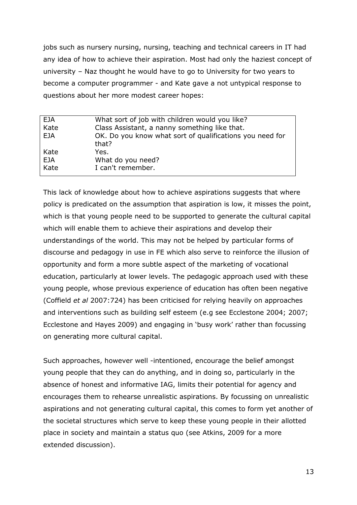jobs such as nursery nursing, nursing, teaching and technical careers in IT had any idea of how to achieve their aspiration. Most had only the haziest concept of university – Naz thought he would have to go to University for two years to become a computer programmer - and Kate gave a not untypical response to questions about her more modest career hopes:

| <b>EJA</b> | What sort of job with children would you like?                    |
|------------|-------------------------------------------------------------------|
| Kate       | Class Assistant, a nanny something like that.                     |
| <b>EJA</b> | OK. Do you know what sort of qualifications you need for<br>that? |
| Kate       | Yes.                                                              |
| <b>EJA</b> | What do you need?                                                 |
| Kate       | I can't remember.                                                 |

This lack of knowledge about how to achieve aspirations suggests that where policy is predicated on the assumption that aspiration is low, it misses the point, which is that young people need to be supported to generate the cultural capital which will enable them to achieve their aspirations and develop their understandings of the world. This may not be helped by particular forms of discourse and pedagogy in use in FE which also serve to reinforce the illusion of opportunity and form a more subtle aspect of the marketing of vocational education, particularly at lower levels. The pedagogic approach used with these young people, whose previous experience of education has often been negative (Coffield et al 2007:724) has been criticised for relying heavily on approaches and interventions such as building self esteem (e.g see Ecclestone 2004; 2007; Ecclestone and Hayes 2009) and engaging in 'busy work' rather than focussing on generating more cultural capital.

Such approaches, however well -intentioned, encourage the belief amongst young people that they can do anything, and in doing so, particularly in the absence of honest and informative IAG, limits their potential for agency and encourages them to rehearse unrealistic aspirations. By focussing on unrealistic aspirations and not generating cultural capital, this comes to form yet another of the societal structures which serve to keep these young people in their allotted place in society and maintain a status quo (see Atkins, 2009 for a more extended discussion).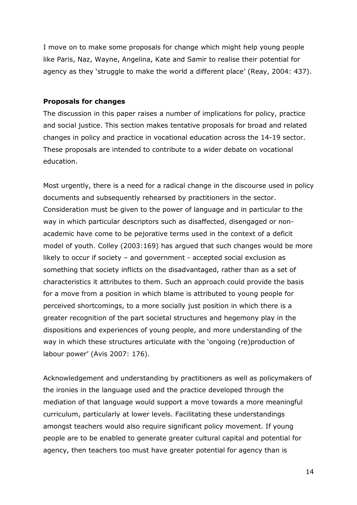I move on to make some proposals for change which might help young people like Paris, Naz, Wayne, Angelina, Kate and Samir to realise their potential for agency as they 'struggle to make the world a different place' (Reay, 2004: 437).

# Proposals for changes

The discussion in this paper raises a number of implications for policy, practice and social justice. This section makes tentative proposals for broad and related changes in policy and practice in vocational education across the 14-19 sector. These proposals are intended to contribute to a wider debate on vocational education.

Most urgently, there is a need for a radical change in the discourse used in policy documents and subsequently rehearsed by practitioners in the sector. Consideration must be given to the power of language and in particular to the way in which particular descriptors such as disaffected, disengaged or nonacademic have come to be pejorative terms used in the context of a deficit model of youth. Colley (2003:169) has argued that such changes would be more likely to occur if society – and government - accepted social exclusion as something that society inflicts on the disadvantaged, rather than as a set of characteristics it attributes to them. Such an approach could provide the basis for a move from a position in which blame is attributed to young people for perceived shortcomings, to a more socially just position in which there is a greater recognition of the part societal structures and hegemony play in the dispositions and experiences of young people, and more understanding of the way in which these structures articulate with the 'ongoing (re)production of labour power' (Avis 2007: 176).

Acknowledgement and understanding by practitioners as well as policymakers of the ironies in the language used and the practice developed through the mediation of that language would support a move towards a more meaningful curriculum, particularly at lower levels. Facilitating these understandings amongst teachers would also require significant policy movement. If young people are to be enabled to generate greater cultural capital and potential for agency, then teachers too must have greater potential for agency than is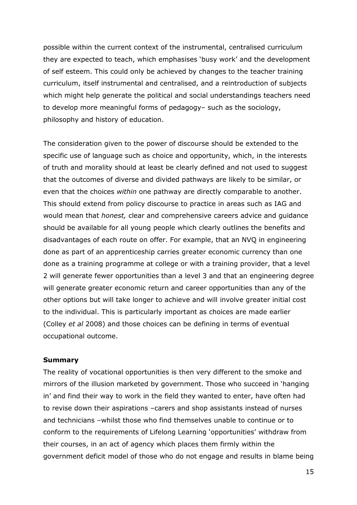possible within the current context of the instrumental, centralised curriculum they are expected to teach, which emphasises 'busy work' and the development of self esteem. This could only be achieved by changes to the teacher training curriculum, itself instrumental and centralised, and a reintroduction of subjects which might help generate the political and social understandings teachers need to develop more meaningful forms of pedagogy– such as the sociology, philosophy and history of education.

The consideration given to the power of discourse should be extended to the specific use of language such as choice and opportunity, which, in the interests of truth and morality should at least be clearly defined and not used to suggest that the outcomes of diverse and divided pathways are likely to be similar, or even that the choices within one pathway are directly comparable to another. This should extend from policy discourse to practice in areas such as IAG and would mean that honest, clear and comprehensive careers advice and guidance should be available for all young people which clearly outlines the benefits and disadvantages of each route on offer. For example, that an NVQ in engineering done as part of an apprenticeship carries greater economic currency than one done as a training programme at college or with a training provider, that a level 2 will generate fewer opportunities than a level 3 and that an engineering degree will generate greater economic return and career opportunities than any of the other options but will take longer to achieve and will involve greater initial cost to the individual. This is particularly important as choices are made earlier (Colley et al 2008) and those choices can be defining in terms of eventual occupational outcome.

#### Summary

The reality of vocational opportunities is then very different to the smoke and mirrors of the illusion marketed by government. Those who succeed in 'hanging in' and find their way to work in the field they wanted to enter, have often had to revise down their aspirations –carers and shop assistants instead of nurses and technicians –whilst those who find themselves unable to continue or to conform to the requirements of Lifelong Learning 'opportunities' withdraw from their courses, in an act of agency which places them firmly within the government deficit model of those who do not engage and results in blame being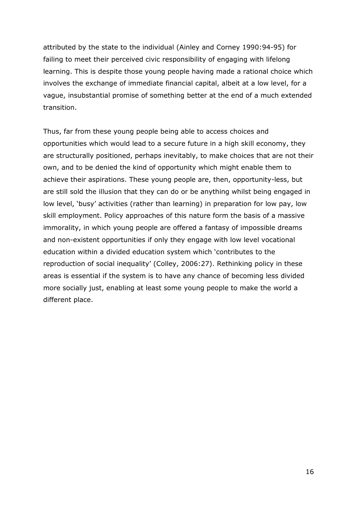attributed by the state to the individual (Ainley and Corney 1990:94-95) for failing to meet their perceived civic responsibility of engaging with lifelong learning. This is despite those young people having made a rational choice which involves the exchange of immediate financial capital, albeit at a low level, for a vague, insubstantial promise of something better at the end of a much extended transition.

Thus, far from these young people being able to access choices and opportunities which would lead to a secure future in a high skill economy, they are structurally positioned, perhaps inevitably, to make choices that are not their own, and to be denied the kind of opportunity which might enable them to achieve their aspirations. These young people are, then, opportunity-less, but are still sold the illusion that they can do or be anything whilst being engaged in low level, 'busy' activities (rather than learning) in preparation for low pay, low skill employment. Policy approaches of this nature form the basis of a massive immorality, in which young people are offered a fantasy of impossible dreams and non-existent opportunities if only they engage with low level vocational education within a divided education system which 'contributes to the reproduction of social inequality' (Colley, 2006:27). Rethinking policy in these areas is essential if the system is to have any chance of becoming less divided more socially just, enabling at least some young people to make the world a different place.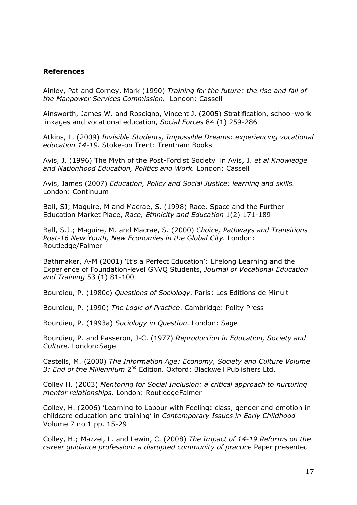## References

Ainley, Pat and Corney, Mark (1990) Training for the future: the rise and fall of the Manpower Services Commission. London: Cassell

Ainsworth, James W. and Roscigno, Vincent J. (2005) Stratification, school-work linkages and vocational education, Social Forces 84 (1) 259-286

Atkins, L. (2009) Invisible Students, Impossible Dreams: experiencing vocational education 14-19. Stoke-on Trent: Trentham Books

Avis, J. (1996) The Myth of the Post-Fordist Society in Avis, J. et al Knowledge and Nationhood Education, Politics and Work. London: Cassell

Avis, James (2007) Education, Policy and Social Justice: learning and skills. London: Continuum

Ball, SJ; Maguire, M and Macrae, S. (1998) Race, Space and the Further Education Market Place, Race, Ethnicity and Education 1(2) 171-189

Ball, S.J.; Maguire, M. and Macrae, S. (2000) Choice, Pathways and Transitions Post-16 New Youth, New Economies in the Global City. London: Routledge/Falmer

Bathmaker, A-M (2001) 'It's a Perfect Education': Lifelong Learning and the Experience of Foundation-level GNVQ Students, Journal of Vocational Education and Training 53 (1) 81-100

Bourdieu, P. (1980c) Questions of Sociology. Paris: Les Editions de Minuit

Bourdieu, P. (1990) The Logic of Practice. Cambridge: Polity Press

Bourdieu, P. (1993a) Sociology in Question. London: Sage

Bourdieu, P. and Passeron, J-C. (1977) Reproduction in Education, Society and Culture. London:Sage

Castells, M. (2000) The Information Age: Economy, Society and Culture Volume 3: End of the Millennium 2<sup>nd</sup> Edition. Oxford: Blackwell Publishers Ltd.

Colley H. (2003) Mentoring for Social Inclusion: a critical approach to nurturing mentor relationships. London: RoutledgeFalmer

Colley, H. (2006) 'Learning to Labour with Feeling: class, gender and emotion in childcare education and training' in Contemporary Issues in Early Childhood Volume 7 no 1 pp. 15-29

Colley, H.; Mazzei, L. and Lewin, C. (2008) The Impact of 14-19 Reforms on the career guidance profession: a disrupted community of practice Paper presented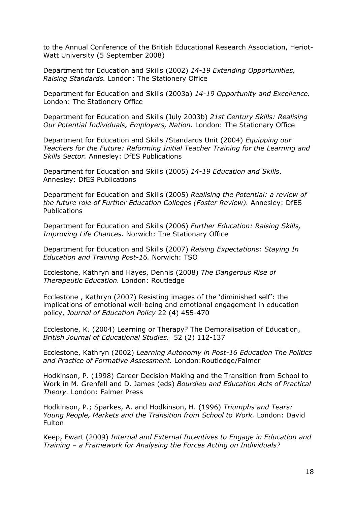to the Annual Conference of the British Educational Research Association, Heriot-Watt University (5 September 2008)

Department for Education and Skills (2002) 14-19 Extending Opportunities, Raising Standards. London: The Stationery Office

Department for Education and Skills (2003a) 14-19 Opportunity and Excellence. London: The Stationery Office

Department for Education and Skills (July 2003b) 21st Century Skills: Realising Our Potential Individuals, Employers, Nation. London: The Stationary Office

Department for Education and Skills /Standards Unit (2004) Equipping our Teachers for the Future: Reforming Initial Teacher Training for the Learning and Skills Sector. Annesley: DfES Publications

Department for Education and Skills (2005) 14-19 Education and Skills. Annesley: DfES Publications

Department for Education and Skills (2005) Realising the Potential: a review of the future role of Further Education Colleges (Foster Review). Annesley: DfES **Publications** 

Department for Education and Skills (2006) Further Education: Raising Skills, Improving Life Chances. Norwich: The Stationary Office

Department for Education and Skills (2007) Raising Expectations: Staying In Education and Training Post-16. Norwich: TSO

Ecclestone, Kathryn and Hayes, Dennis (2008) The Dangerous Rise of Therapeutic Education. London: Routledge

Ecclestone , Kathryn (2007) Resisting images of the 'diminished self': the implications of emotional well-being and emotional engagement in education policy, Journal of Education Policy 22 (4) 455-470

Ecclestone, K. (2004) Learning or Therapy? The Demoralisation of Education, British Journal of Educational Studies. 52 (2) 112-137

Ecclestone, Kathryn (2002) Learning Autonomy in Post-16 Education The Politics and Practice of Formative Assessment. London:Routledge/Falmer

Hodkinson, P. (1998) Career Decision Making and the Transition from School to Work in M. Grenfell and D. James (eds) Bourdieu and Education Acts of Practical Theory. London: Falmer Press

Hodkinson, P.; Sparkes, A. and Hodkinson, H. (1996) Triumphs and Tears: Young People, Markets and the Transition from School to Work. London: David Fulton

Keep, Ewart (2009) Internal and External Incentives to Engage in Education and Training – a Framework for Analysing the Forces Acting on Individuals?